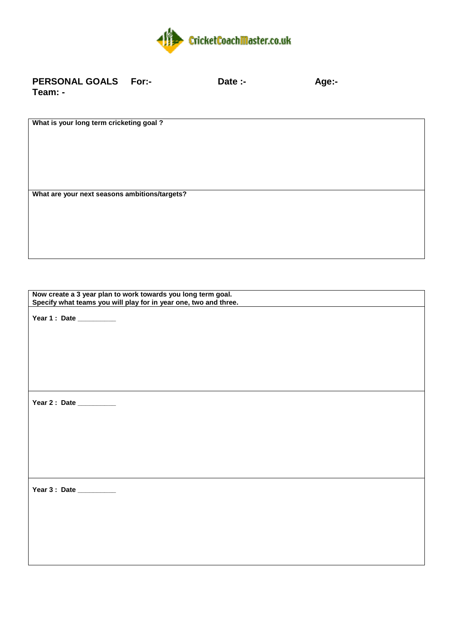

| <b>PERSONAL GOALS For:-</b> | Date :- | Age:- |
|-----------------------------|---------|-------|
| Team: -                     |         |       |

**What is your long term cricketing goal ?**

**What are your next seasons ambitions/targets?**

**Now create a 3 year plan to work towards you long term goal. Specify what teams you will play for in year one, two and three.** 

**Year 1 : Date \_\_\_\_\_\_\_\_\_\_**

**Year 2 : Date \_\_\_\_\_\_\_\_\_\_**

**Year 3 : Date \_\_\_\_\_\_\_\_\_\_**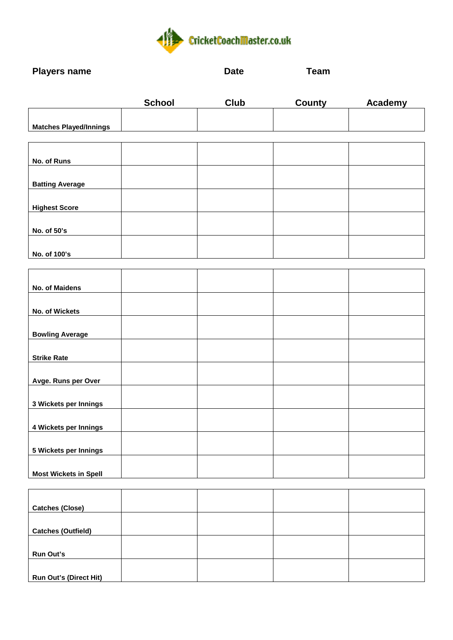

**Players name Date Date Team** 

|                               | <b>School</b> | <b>Club</b> | County | Academy |
|-------------------------------|---------------|-------------|--------|---------|
|                               |               |             |        |         |
| <b>Matches Played/Innings</b> |               |             |        |         |
|                               |               |             |        |         |
| No. of Runs                   |               |             |        |         |
| <b>Batting Average</b>        |               |             |        |         |
| <b>Highest Score</b>          |               |             |        |         |
| No. of 50's                   |               |             |        |         |
| No. of 100's                  |               |             |        |         |
|                               |               |             |        |         |
| No. of Maidens                |               |             |        |         |
| No. of Wickets                |               |             |        |         |
| <b>Bowling Average</b>        |               |             |        |         |
| <b>Strike Rate</b>            |               |             |        |         |
| Avge. Runs per Over           |               |             |        |         |
| 3 Wickets per Innings         |               |             |        |         |
| 4 Wickets per Innings         |               |             |        |         |
| 5 Wickets per Innings         |               |             |        |         |
| <b>Most Wickets in Spell</b>  |               |             |        |         |

| <b>Catches (Close)</b>        |  |  |
|-------------------------------|--|--|
|                               |  |  |
| <b>Catches (Outfield)</b>     |  |  |
|                               |  |  |
| Run Out's                     |  |  |
|                               |  |  |
| <b>Run Out's (Direct Hit)</b> |  |  |